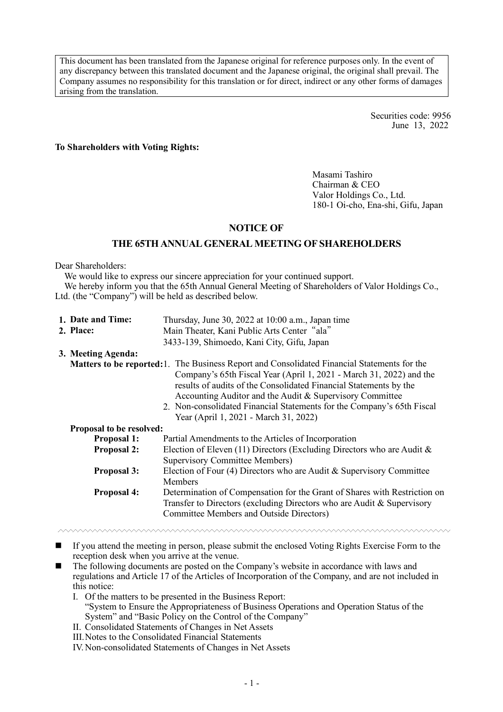This document has been translated from the Japanese original for reference purposes only. In the event of any discrepancy between this translated document and the Japanese original, the original shall prevail. The Company assumes no responsibility for this translation or for direct, indirect or any other forms of damages arising from the translation.

> Securities code: 9956 June 13, 2022

#### **To Shareholders with Voting Rights:**

Masami Tashiro Chairman & CEO Valor Holdings Co., Ltd. 180-1 Oi-cho, Ena-shi, Gifu, Japan

## **NOTICE OF**

## **THE 65TH ANNUAL GENERAL MEETING OF SHAREHOLDERS**

Dear Shareholders:

We would like to express our sincere appreciation for your continued support.

We hereby inform you that the 65th Annual General Meeting of Shareholders of Valor Holdings Co., Ltd. (the "Company") will be held as described below.

| 1. Date and Time:               | Thursday, June 30, 2022 at 10:00 a.m., Japan time                                                                                                                                                                                                                                                                                                                                                                              |
|---------------------------------|--------------------------------------------------------------------------------------------------------------------------------------------------------------------------------------------------------------------------------------------------------------------------------------------------------------------------------------------------------------------------------------------------------------------------------|
| 2. Place:                       | Main Theater, Kani Public Arts Center "ala"                                                                                                                                                                                                                                                                                                                                                                                    |
|                                 | 3433-139, Shimoedo, Kani City, Gifu, Japan                                                                                                                                                                                                                                                                                                                                                                                     |
| 3. Meeting Agenda:              |                                                                                                                                                                                                                                                                                                                                                                                                                                |
|                                 | <b>Matters to be reported:</b> 1. The Business Report and Consolidated Financial Statements for the<br>Company's 65th Fiscal Year (April 1, 2021 - March 31, 2022) and the<br>results of audits of the Consolidated Financial Statements by the<br>Accounting Auditor and the Audit & Supervisory Committee<br>2. Non-consolidated Financial Statements for the Company's 65th Fiscal<br>Year (April 1, 2021 - March 31, 2022) |
| <b>Proposal to be resolved:</b> |                                                                                                                                                                                                                                                                                                                                                                                                                                |
| <b>Proposal 1:</b>              | Partial Amendments to the Articles of Incorporation                                                                                                                                                                                                                                                                                                                                                                            |
| <b>Proposal 2:</b>              | Election of Eleven (11) Directors (Excluding Directors who are Audit $\&$<br><b>Supervisory Committee Members)</b>                                                                                                                                                                                                                                                                                                             |
| <b>Proposal 3:</b>              | Election of Four (4) Directors who are Audit & Supervisory Committee<br>Members                                                                                                                                                                                                                                                                                                                                                |
| <b>Proposal 4:</b>              | Determination of Compensation for the Grant of Shares with Restriction on<br>Transfer to Directors (excluding Directors who are Audit & Supervisory<br><b>Committee Members and Outside Directors)</b>                                                                                                                                                                                                                         |

- If you attend the meeting in person, please submit the enclosed Voting Rights Exercise Form to the reception desk when you arrive at the venue.
- The following documents are posted on the Company's website in accordance with laws and regulations and Article 17 of the Articles of Incorporation of the Company, and are not included in this notice:
	- I. Of the matters to be presented in the Business Report: "System to Ensure the Appropriateness of Business Operations and Operation Status of the System" and "Basic Policy on the Control of the Company"
	- II. Consolidated Statements of Changes in Net Assets
	- III.Notes to the Consolidated Financial Statements
	- IV.Non-consolidated Statements of Changes in Net Assets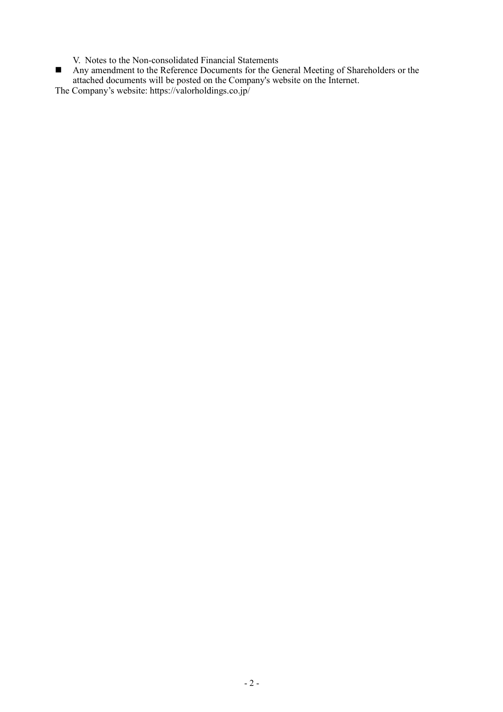- V. Notes to the Non-consolidated Financial Statements
- Any amendment to the Reference Documents for the General Meeting of Shareholders or the attached documents will be posted on the Company's website on the Internet.

The Company's website: https://valorholdings.co.jp/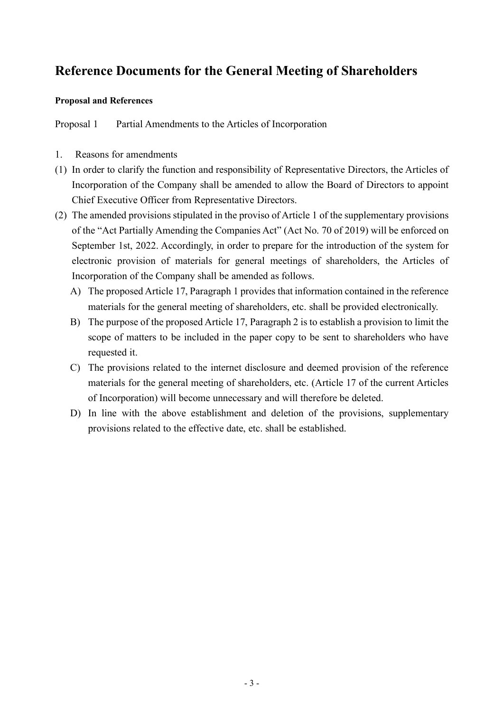# **Reference Documents for the General Meeting of Shareholders**

## **Proposal and References**

Proposal 1 Partial Amendments to the Articles of Incorporation

- 1. Reasons for amendments
- (1) In order to clarify the function and responsibility of Representative Directors, the Articles of Incorporation of the Company shall be amended to allow the Board of Directors to appoint Chief Executive Officer from Representative Directors.
- (2) The amended provisions stipulated in the proviso of Article 1 of the supplementary provisions of the "Act Partially Amending the Companies Act" (Act No. 70 of 2019) will be enforced on September 1st, 2022. Accordingly, in order to prepare for the introduction of the system for electronic provision of materials for general meetings of shareholders, the Articles of Incorporation of the Company shall be amended as follows.
	- A) The proposed Article 17, Paragraph 1 provides that information contained in the reference materials for the general meeting of shareholders, etc. shall be provided electronically.
	- B) The purpose of the proposed Article 17, Paragraph 2 is to establish a provision to limit the scope of matters to be included in the paper copy to be sent to shareholders who have requested it.
	- C) The provisions related to the internet disclosure and deemed provision of the reference materials for the general meeting of shareholders, etc. (Article 17 of the current Articles of Incorporation) will become unnecessary and will therefore be deleted.
	- D) In line with the above establishment and deletion of the provisions, supplementary provisions related to the effective date, etc. shall be established.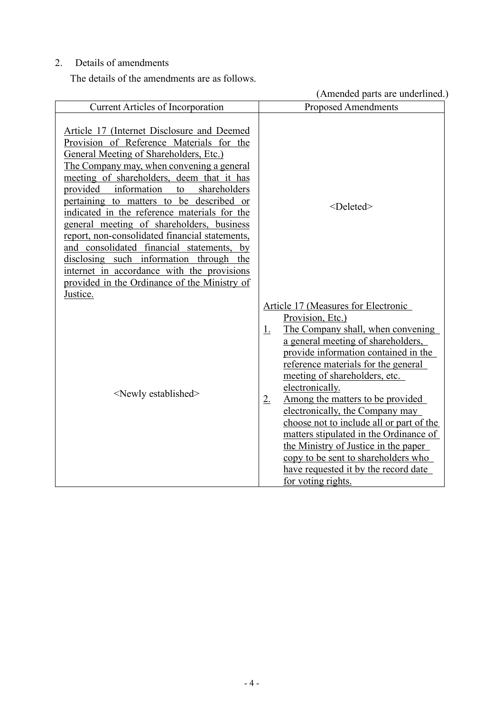## 2. Details of amendments

The details of the amendments are as follows.

(Amended parts are underlined.)

|                                                                                                                                                                                                                                                                                                                                                                                                                                                                                                                                                                                                                                                     | (Trindica parts are underlined.<br><b>Proposed Amendments</b>                                                                                                                                                                                                                                                                                                                                                                                                                                                                                                                                                      |
|-----------------------------------------------------------------------------------------------------------------------------------------------------------------------------------------------------------------------------------------------------------------------------------------------------------------------------------------------------------------------------------------------------------------------------------------------------------------------------------------------------------------------------------------------------------------------------------------------------------------------------------------------------|--------------------------------------------------------------------------------------------------------------------------------------------------------------------------------------------------------------------------------------------------------------------------------------------------------------------------------------------------------------------------------------------------------------------------------------------------------------------------------------------------------------------------------------------------------------------------------------------------------------------|
| <b>Current Articles of Incorporation</b>                                                                                                                                                                                                                                                                                                                                                                                                                                                                                                                                                                                                            |                                                                                                                                                                                                                                                                                                                                                                                                                                                                                                                                                                                                                    |
| Article 17 (Internet Disclosure and Deemed<br>Provision of Reference Materials for the<br>General Meeting of Shareholders, Etc.)<br>The Company may, when convening a general<br>meeting of shareholders, deem that it has<br>provided information to shareholders<br>pertaining to matters to be described or<br>indicated in the reference materials for the<br>general meeting of shareholders, business<br>report, non-consolidated financial statements,<br>and consolidated financial statements, by<br>disclosing such information through the<br>internet in accordance with the provisions<br>provided in the Ordinance of the Ministry of | <deleted></deleted>                                                                                                                                                                                                                                                                                                                                                                                                                                                                                                                                                                                                |
| Justice.<br><newly established=""></newly>                                                                                                                                                                                                                                                                                                                                                                                                                                                                                                                                                                                                          | Article 17 (Measures for Electronic<br>Provision, Etc.)<br>The Company shall, when convening<br><u>1.</u><br>a general meeting of shareholders,<br>provide information contained in the<br>reference materials for the general<br>meeting of shareholders, etc.<br>electronically.<br>Among the matters to be provided<br>$2_{\cdot}$<br>electronically, the Company may<br>choose not to include all or part of the<br>matters stipulated in the Ordinance of<br>the Ministry of Justice in the paper<br>copy to be sent to shareholders who<br><u>have requested it by the record date</u><br>for voting rights. |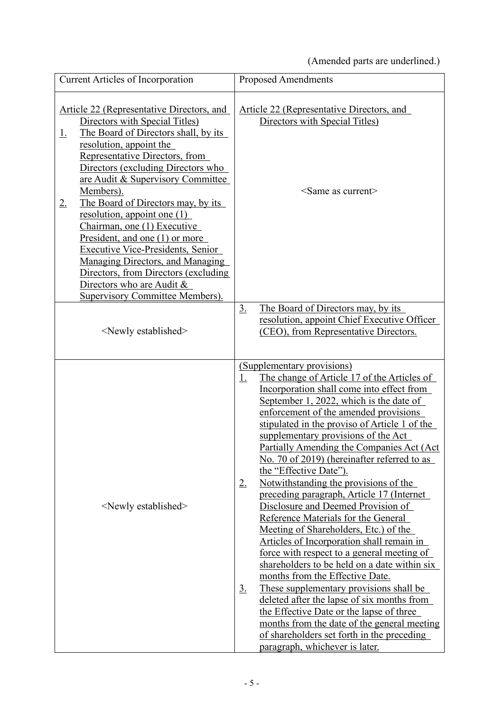(Amended parts are underlined.)

| <b>Current Articles of Incorporation</b>                                                                                                                                                                                                                                                                                                                                                                                                                                                                                                                                                                                      | <b>Proposed Amendments</b>                                                                                                                                                                                                                                                                                                                                                                                                                                                                                                                                                                                                                                                                                                                                                                                                                                                                                                                                                                                                                                                                                                       |
|-------------------------------------------------------------------------------------------------------------------------------------------------------------------------------------------------------------------------------------------------------------------------------------------------------------------------------------------------------------------------------------------------------------------------------------------------------------------------------------------------------------------------------------------------------------------------------------------------------------------------------|----------------------------------------------------------------------------------------------------------------------------------------------------------------------------------------------------------------------------------------------------------------------------------------------------------------------------------------------------------------------------------------------------------------------------------------------------------------------------------------------------------------------------------------------------------------------------------------------------------------------------------------------------------------------------------------------------------------------------------------------------------------------------------------------------------------------------------------------------------------------------------------------------------------------------------------------------------------------------------------------------------------------------------------------------------------------------------------------------------------------------------|
| Article 22 (Representative Directors, and<br>Directors with Special Titles)<br>The Board of Directors shall, by its<br><u>1.</u><br>resolution, appoint the<br>Representative Directors, from<br>Directors (excluding Directors who<br>are Audit & Supervisory Committee<br>Members).<br>The Board of Directors may, by its<br>$2_{\cdot}$<br>resolution, appoint one $(1)$<br>Chairman, one (1) Executive<br>President, and one (1) or more<br>Executive Vice-Presidents, Senior<br>Managing Directors, and Managing<br>Directors, from Directors (excluding<br>Directors who are Audit &<br>Supervisory Committee Members). | Article 22 (Representative Directors, and<br>Directors with Special Titles)<br>$\le$ Same as current $\ge$<br>The Board of Directors may, by its<br>$\underline{3}$ .<br>resolution, appoint Chief Executive Officer                                                                                                                                                                                                                                                                                                                                                                                                                                                                                                                                                                                                                                                                                                                                                                                                                                                                                                             |
| <newly established=""></newly>                                                                                                                                                                                                                                                                                                                                                                                                                                                                                                                                                                                                | (CEO), from Representative Directors.                                                                                                                                                                                                                                                                                                                                                                                                                                                                                                                                                                                                                                                                                                                                                                                                                                                                                                                                                                                                                                                                                            |
| <newly established=""></newly>                                                                                                                                                                                                                                                                                                                                                                                                                                                                                                                                                                                                | (Supplementary provisions)<br>The change of Article 17 of the Articles of<br><u>1.</u><br>Incorporation shall come into effect from<br>September 1, 2022, which is the date of<br>enforcement of the amended provisions<br>stipulated in the proviso of Article 1 of the<br>supplementary provisions of the Act<br>Partially Amending the Companies Act (Act)<br>No. 70 of 2019) (hereinafter referred to as<br>the "Effective Date").<br>Notwithstanding the provisions of the<br>$2_{\cdot}$<br>preceding paragraph, Article 17 (Internet<br>Disclosure and Deemed Provision of<br>Reference Materials for the General<br>Meeting of Shareholders, Etc.) of the<br>Articles of Incorporation shall remain in<br>force with respect to a general meeting of<br>shareholders to be held on a date within six<br>months from the Effective Date.<br>These supplementary provisions shall be<br><u>3.</u><br>deleted after the lapse of six months from<br>the Effective Date or the lapse of three<br>months from the date of the general meeting<br>of shareholders set forth in the preceding<br>paragraph, whichever is later. |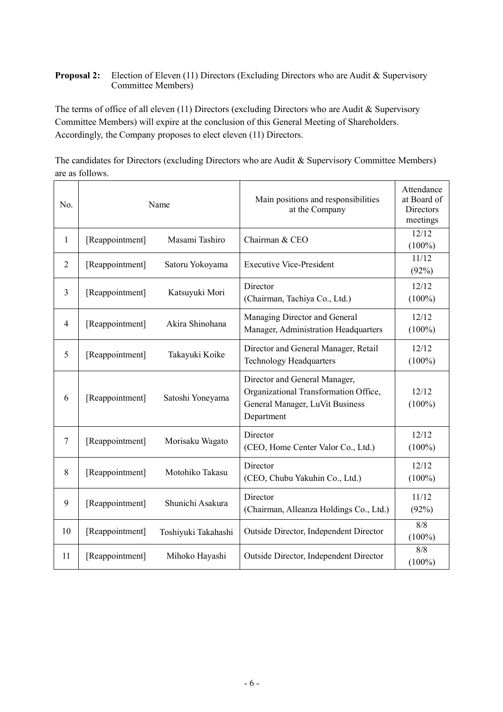## **Proposal 2:** Election of Eleven (11) Directors (Excluding Directors who are Audit & Supervisory Committee Members)

The terms of office of all eleven (11) Directors (excluding Directors who are Audit & Supervisory Committee Members) will expire at the conclusion of this General Meeting of Shareholders. Accordingly, the Company proposes to elect eleven (11) Directors.

The candidates for Directors (excluding Directors who are Audit & Supervisory Committee Members) are as follows.

| No.            | Name                              |                     | Main positions and responsibilities<br>at the Company                                                                   | Attendance<br>at Board of<br>Directors<br>meetings |
|----------------|-----------------------------------|---------------------|-------------------------------------------------------------------------------------------------------------------------|----------------------------------------------------|
| 1              | [Reappointment]                   | Masami Tashiro      | Chairman & CEO                                                                                                          | 12/12<br>$(100\%)$                                 |
| $\overline{2}$ | [Reappointment]                   | Satoru Yokoyama     | <b>Executive Vice-President</b>                                                                                         | 11/12<br>(92%)                                     |
| 3              | [Reappointment]                   | Katsuyuki Mori      | Director<br>(Chairman, Tachiya Co., Ltd.)                                                                               | 12/12<br>$(100\%)$                                 |
| $\overline{4}$ | [Reappointment]                   | Akira Shinohana     | Managing Director and General<br>Manager, Administration Headquarters                                                   | 12/12<br>$(100\%)$                                 |
| 5              | [Reappointment]<br>Takayuki Koike |                     | Director and General Manager, Retail<br><b>Technology Headquarters</b>                                                  | 12/12<br>$(100\%)$                                 |
| 6              | [Reappointment]                   | Satoshi Yoneyama    | Director and General Manager,<br>Organizational Transformation Office,<br>General Manager, LuVit Business<br>Department | 12/12<br>$(100\%)$                                 |
| $\overline{7}$ | [Reappointment]                   | Morisaku Wagato     | Director<br>(CEO, Home Center Valor Co., Ltd.)                                                                          | 12/12<br>$(100\%)$                                 |
| 8              | [Reappointment]                   | Motohiko Takasu     | Director<br>(CEO, Chubu Yakuhin Co., Ltd.)                                                                              | 12/12<br>$(100\%)$                                 |
| 9              | [Reappointment]                   | Shunichi Asakura    | Director<br>(Chairman, Alleanza Holdings Co., Ltd.)                                                                     | 11/12<br>(92%)                                     |
| 10             | [Reappointment]                   | Toshiyuki Takahashi | Outside Director, Independent Director                                                                                  | 8/8<br>$(100\%)$                                   |
| 11             | [Reappointment]                   | Mihoko Hayashi      | Outside Director, Independent Director                                                                                  | 8/8<br>$(100\%)$                                   |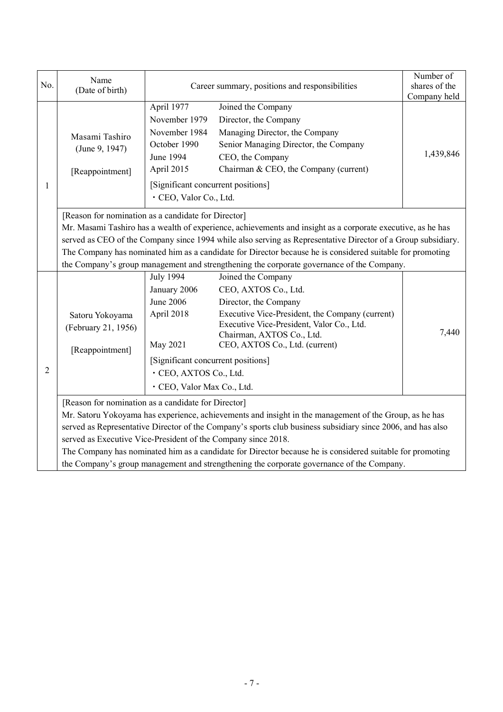| No.            | Name<br>(Date of birth)                                                                                                                                                                                                                                                                                                                                                                                                                                                                                                                                 | Career summary, positions and responsibilities                                                                                                                                                                                                                                                                                                                                                                              | Number of<br>shares of the<br>Company held |  |  |  |
|----------------|---------------------------------------------------------------------------------------------------------------------------------------------------------------------------------------------------------------------------------------------------------------------------------------------------------------------------------------------------------------------------------------------------------------------------------------------------------------------------------------------------------------------------------------------------------|-----------------------------------------------------------------------------------------------------------------------------------------------------------------------------------------------------------------------------------------------------------------------------------------------------------------------------------------------------------------------------------------------------------------------------|--------------------------------------------|--|--|--|
| 1              | Masami Tashiro<br>(June 9, 1947)<br>[Reappointment]                                                                                                                                                                                                                                                                                                                                                                                                                                                                                                     | April 1977<br>Joined the Company<br>November 1979<br>Director, the Company<br>November 1984<br>Managing Director, the Company<br>October 1990<br>Senior Managing Director, the Company<br>June 1994<br>CEO, the Company<br>Chairman & CEO, the Company (current)<br>April 2015<br>[Significant concurrent positions]<br>· CEO, Valor Co., Ltd.                                                                              | 1,439,846                                  |  |  |  |
|                | [Reason for nomination as a candidate for Director]<br>Mr. Masami Tashiro has a wealth of experience, achievements and insight as a corporate executive, as he has<br>served as CEO of the Company since 1994 while also serving as Representative Director of a Group subsidiary.<br>The Company has nominated him as a candidate for Director because he is considered suitable for promoting<br>the Company's group management and strengthening the corporate governance of the Company.                                                            |                                                                                                                                                                                                                                                                                                                                                                                                                             |                                            |  |  |  |
| $\overline{2}$ | Satoru Yokoyama<br>(February 21, 1956)<br>[Reappointment]                                                                                                                                                                                                                                                                                                                                                                                                                                                                                               | <b>July 1994</b><br>Joined the Company<br>January 2006<br>CEO, AXTOS Co., Ltd.<br><b>June 2006</b><br>Director, the Company<br>April 2018<br>Executive Vice-President, the Company (current)<br>Executive Vice-President, Valor Co., Ltd.<br>7,440<br>Chairman, AXTOS Co., Ltd.<br>May 2021<br>CEO, AXTOS Co., Ltd. (current)<br>[Significant concurrent positions]<br>· CEO, AXTOS Co., Ltd.<br>· CEO, Valor Max Co., Ltd. |                                            |  |  |  |
|                | [Reason for nomination as a candidate for Director]<br>Mr. Satoru Yokoyama has experience, achievements and insight in the management of the Group, as he has<br>served as Representative Director of the Company's sports club business subsidiary since 2006, and has also<br>served as Executive Vice-President of the Company since 2018.<br>The Company has nominated him as a candidate for Director because he is considered suitable for promoting<br>the Company's group management and strengthening the corporate governance of the Company. |                                                                                                                                                                                                                                                                                                                                                                                                                             |                                            |  |  |  |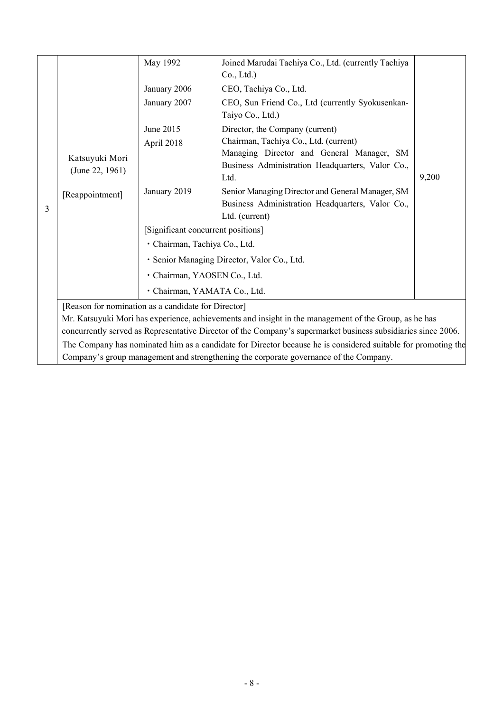|   |                                                                                                       | May 1992                           | Joined Marudai Tachiya Co., Ltd. (currently Tachiya                                                           |       |  |
|---|-------------------------------------------------------------------------------------------------------|------------------------------------|---------------------------------------------------------------------------------------------------------------|-------|--|
|   |                                                                                                       |                                    | Co., Ltd.)                                                                                                    |       |  |
|   |                                                                                                       | January 2006                       | CEO, Tachiya Co., Ltd.                                                                                        |       |  |
|   |                                                                                                       | January 2007                       | CEO, Sun Friend Co., Ltd (currently Syokusenkan-                                                              |       |  |
|   |                                                                                                       |                                    | Taiyo Co., Ltd.)                                                                                              |       |  |
|   |                                                                                                       | June 2015                          | Director, the Company (current)                                                                               |       |  |
|   |                                                                                                       | April 2018                         | Chairman, Tachiya Co., Ltd. (current)                                                                         |       |  |
|   | Katsuyuki Mori                                                                                        |                                    | Managing Director and General Manager, SM                                                                     |       |  |
|   | (June 22, 1961)                                                                                       |                                    | Business Administration Headquarters, Valor Co.,                                                              |       |  |
|   |                                                                                                       |                                    | Ltd.                                                                                                          | 9,200 |  |
|   | [Reappointment]                                                                                       | January 2019                       | Senior Managing Director and General Manager, SM                                                              |       |  |
| 3 |                                                                                                       |                                    | Business Administration Headquarters, Valor Co.,                                                              |       |  |
|   |                                                                                                       |                                    | Ltd. (current)                                                                                                |       |  |
|   |                                                                                                       | [Significant concurrent positions] |                                                                                                               |       |  |
|   |                                                                                                       | · Chairman, Tachiya Co., Ltd.      |                                                                                                               |       |  |
|   |                                                                                                       |                                    | · Senior Managing Director, Valor Co., Ltd.                                                                   |       |  |
|   |                                                                                                       | · Chairman, YAOSEN Co., Ltd.       |                                                                                                               |       |  |
|   |                                                                                                       | · Chairman, YAMATA Co., Ltd.       |                                                                                                               |       |  |
|   | [Reason for nomination as a candidate for Director]                                                   |                                    |                                                                                                               |       |  |
|   | Mr. Katsuyuki Mori has experience, achievements and insight in the management of the Group, as he has |                                    |                                                                                                               |       |  |
|   |                                                                                                       |                                    | concurrently served as Representative Director of the Company's supermarket business subsidiaries since 2006. |       |  |
|   |                                                                                                       |                                    | The Company has nominated him as a candidate for Director because he is considered suitable for promoting the |       |  |
|   | Company's group management and strengthening the corporate governance of the Company.                 |                                    |                                                                                                               |       |  |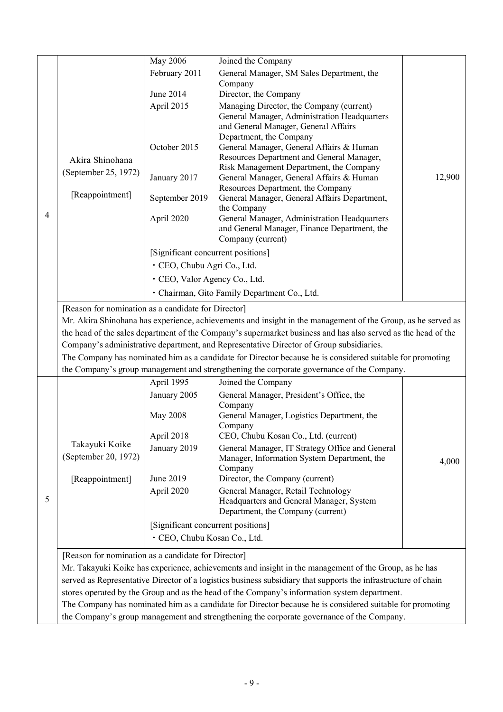|                                                                                                               |                                                     | May 2006                           | Joined the Company                                                                                                                                                                                        |        |
|---------------------------------------------------------------------------------------------------------------|-----------------------------------------------------|------------------------------------|-----------------------------------------------------------------------------------------------------------------------------------------------------------------------------------------------------------|--------|
|                                                                                                               |                                                     | February 2011                      | General Manager, SM Sales Department, the                                                                                                                                                                 |        |
|                                                                                                               |                                                     |                                    | Company                                                                                                                                                                                                   |        |
|                                                                                                               |                                                     | June 2014                          | Director, the Company                                                                                                                                                                                     |        |
|                                                                                                               |                                                     | April 2015                         | Managing Director, the Company (current)                                                                                                                                                                  |        |
|                                                                                                               |                                                     |                                    | General Manager, Administration Headquarters<br>and General Manager, General Affairs                                                                                                                      |        |
|                                                                                                               |                                                     |                                    | Department, the Company                                                                                                                                                                                   |        |
|                                                                                                               |                                                     | October 2015                       | General Manager, General Affairs & Human                                                                                                                                                                  |        |
|                                                                                                               | Akira Shinohana                                     |                                    | Resources Department and General Manager,                                                                                                                                                                 |        |
|                                                                                                               | (September 25, 1972)                                |                                    | Risk Management Department, the Company                                                                                                                                                                   | 12,900 |
|                                                                                                               |                                                     | January 2017                       | General Manager, General Affairs & Human<br>Resources Department, the Company                                                                                                                             |        |
|                                                                                                               | [Reappointment]                                     | September 2019                     | General Manager, General Affairs Department,                                                                                                                                                              |        |
| 4                                                                                                             |                                                     |                                    | the Company                                                                                                                                                                                               |        |
|                                                                                                               |                                                     | April 2020                         | General Manager, Administration Headquarters                                                                                                                                                              |        |
|                                                                                                               |                                                     |                                    | and General Manager, Finance Department, the<br>Company (current)                                                                                                                                         |        |
|                                                                                                               |                                                     | [Significant concurrent positions] |                                                                                                                                                                                                           |        |
|                                                                                                               |                                                     | · CEO, Chubu Agri Co., Ltd.        |                                                                                                                                                                                                           |        |
|                                                                                                               |                                                     |                                    |                                                                                                                                                                                                           |        |
|                                                                                                               |                                                     | · CEO, Valor Agency Co., Ltd.      |                                                                                                                                                                                                           |        |
|                                                                                                               |                                                     |                                    | · Chairman, Gito Family Department Co., Ltd.                                                                                                                                                              |        |
|                                                                                                               | [Reason for nomination as a candidate for Director] |                                    |                                                                                                                                                                                                           |        |
|                                                                                                               |                                                     |                                    | Mr. Akira Shinohana has experience, achievements and insight in the management of the Group, as he served as                                                                                              |        |
| the head of the sales department of the Company's supermarket business and has also served as the head of the |                                                     |                                    |                                                                                                                                                                                                           |        |
|                                                                                                               |                                                     |                                    | Company's administrative department, and Representative Director of Group subsidiaries.                                                                                                                   |        |
|                                                                                                               |                                                     |                                    | The Company has nominated him as a candidate for Director because he is considered suitable for promoting                                                                                                 |        |
|                                                                                                               |                                                     |                                    | the Company's group management and strengthening the corporate governance of the Company.                                                                                                                 |        |
|                                                                                                               |                                                     | April 1995                         | Joined the Company                                                                                                                                                                                        |        |
|                                                                                                               |                                                     | January 2005                       | General Manager, President's Office, the<br>Company                                                                                                                                                       |        |
|                                                                                                               |                                                     | <b>May 2008</b>                    | General Manager, Logistics Department, the                                                                                                                                                                |        |
|                                                                                                               |                                                     |                                    | Company                                                                                                                                                                                                   |        |
|                                                                                                               |                                                     | April 2018                         | CEO, Chubu Kosan Co., Ltd. (current)                                                                                                                                                                      |        |
|                                                                                                               | Takayuki Koike                                      | January 2019                       | General Manager, IT Strategy Office and General                                                                                                                                                           |        |
|                                                                                                               | (September 20, 1972)                                |                                    |                                                                                                                                                                                                           |        |
|                                                                                                               |                                                     |                                    | Manager, Information System Department, the                                                                                                                                                               | 4,000  |
|                                                                                                               |                                                     |                                    | Company                                                                                                                                                                                                   |        |
|                                                                                                               | [Reappointment]                                     | June 2019                          | Director, the Company (current)                                                                                                                                                                           |        |
| 5                                                                                                             |                                                     | April 2020                         | General Manager, Retail Technology<br>Headquarters and General Manager, System                                                                                                                            |        |
|                                                                                                               |                                                     |                                    | Department, the Company (current)                                                                                                                                                                         |        |
|                                                                                                               |                                                     | [Significant concurrent positions] |                                                                                                                                                                                                           |        |
|                                                                                                               |                                                     | · CEO, Chubu Kosan Co., Ltd.       |                                                                                                                                                                                                           |        |
|                                                                                                               |                                                     |                                    |                                                                                                                                                                                                           |        |
|                                                                                                               | [Reason for nomination as a candidate for Director] |                                    |                                                                                                                                                                                                           |        |
|                                                                                                               |                                                     |                                    | Mr. Takayuki Koike has experience, achievements and insight in the management of the Group, as he has                                                                                                     |        |
|                                                                                                               |                                                     |                                    | served as Representative Director of a logistics business subsidiary that supports the infrastructure of chain                                                                                            |        |
|                                                                                                               |                                                     |                                    | stores operated by the Group and as the head of the Company's information system department.<br>The Company has nominated him as a candidate for Director because he is considered suitable for promoting |        |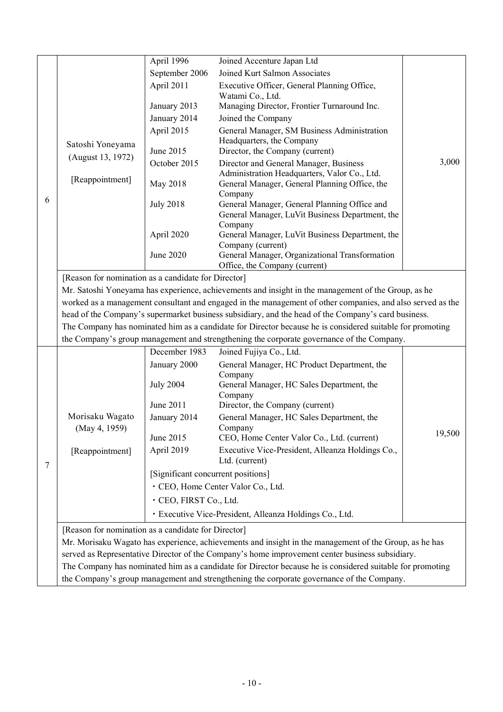|   |                                                                                                                                                                                                                   | April 1996                         | Joined Accenture Japan Ltd                                                                                |        |  |  |
|---|-------------------------------------------------------------------------------------------------------------------------------------------------------------------------------------------------------------------|------------------------------------|-----------------------------------------------------------------------------------------------------------|--------|--|--|
|   |                                                                                                                                                                                                                   | September 2006                     | Joined Kurt Salmon Associates                                                                             |        |  |  |
|   |                                                                                                                                                                                                                   | April 2011                         | Executive Officer, General Planning Office,                                                               |        |  |  |
|   |                                                                                                                                                                                                                   |                                    | Watami Co., Ltd.                                                                                          |        |  |  |
|   |                                                                                                                                                                                                                   | January 2013                       | Managing Director, Frontier Turnaround Inc.                                                               |        |  |  |
|   |                                                                                                                                                                                                                   | January 2014                       | Joined the Company                                                                                        |        |  |  |
|   |                                                                                                                                                                                                                   | April 2015                         | General Manager, SM Business Administration                                                               |        |  |  |
|   | Satoshi Yoneyama                                                                                                                                                                                                  | June 2015                          | Headquarters, the Company                                                                                 |        |  |  |
|   | (August 13, 1972)                                                                                                                                                                                                 | October 2015                       | Director, the Company (current)<br>Director and General Manager, Business                                 | 3,000  |  |  |
|   |                                                                                                                                                                                                                   |                                    | Administration Headquarters, Valor Co., Ltd.                                                              |        |  |  |
|   | [Reappointment]                                                                                                                                                                                                   | May 2018                           | General Manager, General Planning Office, the                                                             |        |  |  |
| 6 |                                                                                                                                                                                                                   |                                    | Company                                                                                                   |        |  |  |
|   |                                                                                                                                                                                                                   | <b>July 2018</b>                   | General Manager, General Planning Office and                                                              |        |  |  |
|   |                                                                                                                                                                                                                   |                                    | General Manager, LuVit Business Department, the<br>Company                                                |        |  |  |
|   |                                                                                                                                                                                                                   | April 2020                         | General Manager, LuVit Business Department, the                                                           |        |  |  |
|   |                                                                                                                                                                                                                   |                                    | Company (current)                                                                                         |        |  |  |
|   |                                                                                                                                                                                                                   | June 2020                          | General Manager, Organizational Transformation<br>Office, the Company (current)                           |        |  |  |
|   | [Reason for nomination as a candidate for Director]                                                                                                                                                               |                                    |                                                                                                           |        |  |  |
|   |                                                                                                                                                                                                                   |                                    | Mr. Satoshi Yoneyama has experience, achievements and insight in the management of the Group, as he       |        |  |  |
|   |                                                                                                                                                                                                                   |                                    |                                                                                                           |        |  |  |
|   | worked as a management consultant and engaged in the management of other companies, and also served as the<br>head of the Company's supermarket business subsidiary, and the head of the Company's card business. |                                    |                                                                                                           |        |  |  |
|   | The Company has nominated him as a candidate for Director because he is considered suitable for promoting                                                                                                         |                                    |                                                                                                           |        |  |  |
|   |                                                                                                                                                                                                                   |                                    | the Company's group management and strengthening the corporate governance of the Company.                 |        |  |  |
|   |                                                                                                                                                                                                                   | December 1983                      | Joined Fujiya Co., Ltd.                                                                                   |        |  |  |
|   |                                                                                                                                                                                                                   | January 2000                       | General Manager, HC Product Department, the                                                               |        |  |  |
|   |                                                                                                                                                                                                                   |                                    | Company                                                                                                   |        |  |  |
|   |                                                                                                                                                                                                                   | <b>July 2004</b>                   | General Manager, HC Sales Department, the                                                                 |        |  |  |
|   |                                                                                                                                                                                                                   | June 2011                          | Company<br>Director, the Company (current)                                                                |        |  |  |
|   | Morisaku Wagato                                                                                                                                                                                                   | January 2014                       | General Manager, HC Sales Department, the                                                                 |        |  |  |
|   | (May 4, 1959)                                                                                                                                                                                                     |                                    | Company                                                                                                   |        |  |  |
|   |                                                                                                                                                                                                                   | June 2015                          | CEO, Home Center Valor Co., Ltd. (current)                                                                | 19,500 |  |  |
|   | [Reappointment]                                                                                                                                                                                                   | April 2019                         | Executive Vice-President, Alleanza Holdings Co.,                                                          |        |  |  |
| 7 |                                                                                                                                                                                                                   |                                    | Ltd. (current)                                                                                            |        |  |  |
|   |                                                                                                                                                                                                                   | [Significant concurrent positions] |                                                                                                           |        |  |  |
|   |                                                                                                                                                                                                                   |                                    | · CEO, Home Center Valor Co., Ltd.                                                                        |        |  |  |
|   |                                                                                                                                                                                                                   | · CEO, FIRST Co., Ltd.             |                                                                                                           |        |  |  |
|   |                                                                                                                                                                                                                   |                                    | · Executive Vice-President, Alleanza Holdings Co., Ltd.                                                   |        |  |  |
|   |                                                                                                                                                                                                                   |                                    |                                                                                                           |        |  |  |
|   | [Reason for nomination as a candidate for Director]<br>Mr. Morisaku Wagato has experience, achievements and insight in the management of the Group, as he has                                                     |                                    |                                                                                                           |        |  |  |
|   |                                                                                                                                                                                                                   |                                    |                                                                                                           |        |  |  |
|   |                                                                                                                                                                                                                   |                                    | served as Representative Director of the Company's home improvement center business subsidiary.           |        |  |  |
|   |                                                                                                                                                                                                                   |                                    | The Company has nominated him as a candidate for Director because he is considered suitable for promoting |        |  |  |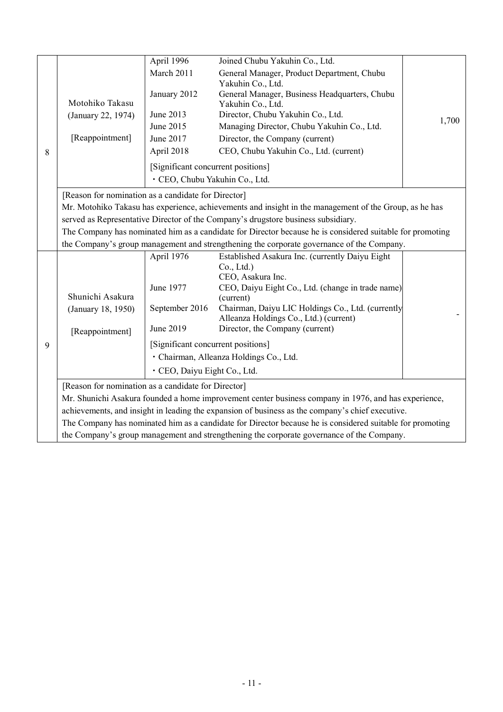|   |                                                                                                           | April 1996                         | Joined Chubu Yakuhin Co., Ltd.                                                                            |       |  |  |
|---|-----------------------------------------------------------------------------------------------------------|------------------------------------|-----------------------------------------------------------------------------------------------------------|-------|--|--|
|   |                                                                                                           | March 2011                         | General Manager, Product Department, Chubu                                                                |       |  |  |
|   |                                                                                                           |                                    | Yakuhin Co., Ltd.                                                                                         |       |  |  |
|   |                                                                                                           | January 2012                       | General Manager, Business Headquarters, Chubu                                                             |       |  |  |
|   | Motohiko Takasu                                                                                           | June 2013                          | Yakuhin Co., Ltd.                                                                                         |       |  |  |
|   | (January 22, 1974)                                                                                        |                                    | Director, Chubu Yakuhin Co., Ltd.                                                                         | 1,700 |  |  |
|   |                                                                                                           | June 2015                          | Managing Director, Chubu Yakuhin Co., Ltd.                                                                |       |  |  |
|   | [Reappointment]                                                                                           | June 2017                          | Director, the Company (current)                                                                           |       |  |  |
| 8 |                                                                                                           | April 2018                         | CEO, Chubu Yakuhin Co., Ltd. (current)                                                                    |       |  |  |
|   |                                                                                                           | [Significant concurrent positions] |                                                                                                           |       |  |  |
|   |                                                                                                           | · CEO, Chubu Yakuhin Co., Ltd.     |                                                                                                           |       |  |  |
|   | [Reason for nomination as a candidate for Director]                                                       |                                    |                                                                                                           |       |  |  |
|   | Mr. Motohiko Takasu has experience, achievements and insight in the management of the Group, as he has    |                                    |                                                                                                           |       |  |  |
|   |                                                                                                           |                                    | served as Representative Director of the Company's drugstore business subsidiary.                         |       |  |  |
|   | The Company has nominated him as a candidate for Director because he is considered suitable for promoting |                                    |                                                                                                           |       |  |  |
|   |                                                                                                           |                                    | the Company's group management and strengthening the corporate governance of the Company.                 |       |  |  |
|   |                                                                                                           | April 1976                         | Established Asakura Inc. (currently Daiyu Eight                                                           |       |  |  |
|   |                                                                                                           |                                    | Co., Ltd.)                                                                                                |       |  |  |
|   |                                                                                                           |                                    | CEO, Asakura Inc.                                                                                         |       |  |  |
|   |                                                                                                           | June 1977                          | CEO, Daiyu Eight Co., Ltd. (change in trade name)                                                         |       |  |  |
|   | Shunichi Asakura                                                                                          |                                    | (current)                                                                                                 |       |  |  |
|   | (January 18, 1950)                                                                                        | September 2016                     | Chairman, Daiyu LIC Holdings Co., Ltd. (currently                                                         |       |  |  |
|   |                                                                                                           | June 2019                          | Alleanza Holdings Co., Ltd.) (current)<br>Director, the Company (current)                                 |       |  |  |
|   | [Reappointment]                                                                                           |                                    |                                                                                                           |       |  |  |
| 9 |                                                                                                           | [Significant concurrent positions] |                                                                                                           |       |  |  |
|   |                                                                                                           |                                    | · Chairman, Alleanza Holdings Co., Ltd.                                                                   |       |  |  |
|   |                                                                                                           | · CEO, Daiyu Eight Co., Ltd.       |                                                                                                           |       |  |  |
|   | [Reason for nomination as a candidate for Director]                                                       |                                    |                                                                                                           |       |  |  |
|   |                                                                                                           |                                    | Mr. Shunichi Asakura founded a home improvement center business company in 1976, and has experience,      |       |  |  |
|   |                                                                                                           |                                    | achievements, and insight in leading the expansion of business as the company's chief executive.          |       |  |  |
|   |                                                                                                           |                                    | The Company has nominated him as a candidate for Director because he is considered suitable for promoting |       |  |  |
|   |                                                                                                           |                                    | the Company's group management and strengthening the corporate governance of the Company.                 |       |  |  |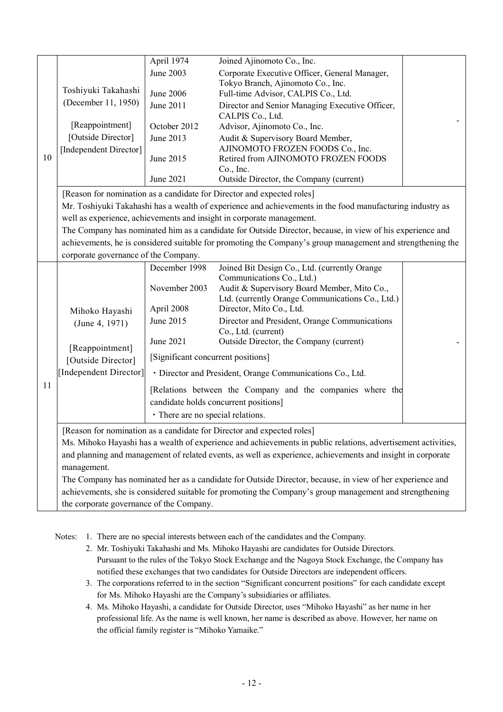|    |                                                                                                         | April 1974                                                 | Joined Ajinomoto Co., Inc.                                                                                                                                                         |  |  |
|----|---------------------------------------------------------------------------------------------------------|------------------------------------------------------------|------------------------------------------------------------------------------------------------------------------------------------------------------------------------------------|--|--|
|    |                                                                                                         | June 2003                                                  | Corporate Executive Officer, General Manager,                                                                                                                                      |  |  |
|    | Toshiyuki Takahashi                                                                                     |                                                            | Tokyo Branch, Ajinomoto Co., Inc.                                                                                                                                                  |  |  |
|    | (December 11, 1950)                                                                                     | June 2006                                                  | Full-time Advisor, CALPIS Co., Ltd.                                                                                                                                                |  |  |
|    |                                                                                                         | June 2011                                                  | Director and Senior Managing Executive Officer,<br>CALPIS Co., Ltd.                                                                                                                |  |  |
|    | [Reappointment]                                                                                         | October 2012                                               | Advisor, Ajinomoto Co., Inc.                                                                                                                                                       |  |  |
|    | [Outside Director]                                                                                      | June 2013                                                  | Audit & Supervisory Board Member,                                                                                                                                                  |  |  |
|    | [Independent Director]                                                                                  |                                                            | AJINOMOTO FROZEN FOODS Co., Inc.                                                                                                                                                   |  |  |
| 10 |                                                                                                         | June 2015                                                  | Retired from AJINOMOTO FROZEN FOODS                                                                                                                                                |  |  |
|    |                                                                                                         | June 2021                                                  | Co., Inc.<br>Outside Director, the Company (current)                                                                                                                               |  |  |
|    |                                                                                                         |                                                            |                                                                                                                                                                                    |  |  |
|    |                                                                                                         |                                                            | [Reason for nomination as a candidate for Director and expected roles]                                                                                                             |  |  |
|    |                                                                                                         |                                                            | Mr. Toshiyuki Takahashi has a wealth of experience and achievements in the food manufacturing industry as                                                                          |  |  |
|    |                                                                                                         |                                                            | well as experience, achievements and insight in corporate management.<br>The Company has nominated him as a candidate for Outside Director, because, in view of his experience and |  |  |
|    |                                                                                                         |                                                            | achievements, he is considered suitable for promoting the Company's group management and strengthening the                                                                         |  |  |
|    |                                                                                                         |                                                            |                                                                                                                                                                                    |  |  |
|    | corporate governance of the Company.                                                                    |                                                            |                                                                                                                                                                                    |  |  |
|    |                                                                                                         | December 1998                                              | Joined Bit Design Co., Ltd. (currently Orange<br>Communications Co., Ltd.)                                                                                                         |  |  |
|    |                                                                                                         | November 2003                                              | Audit & Supervisory Board Member, Mito Co.,                                                                                                                                        |  |  |
|    |                                                                                                         |                                                            | Ltd. (currently Orange Communications Co., Ltd.)                                                                                                                                   |  |  |
|    | Mihoko Hayashi                                                                                          | April 2008                                                 | Director, Mito Co., Ltd.                                                                                                                                                           |  |  |
|    | (June 4, 1971)                                                                                          | June 2015                                                  | Director and President, Orange Communications                                                                                                                                      |  |  |
|    |                                                                                                         | June 2021                                                  | Co., Ltd. (current)<br>Outside Director, the Company (current)                                                                                                                     |  |  |
|    | [Reappointment]                                                                                         |                                                            |                                                                                                                                                                                    |  |  |
|    | [Outside Director]                                                                                      | [Significant concurrent positions]                         |                                                                                                                                                                                    |  |  |
|    | [Independent Director]                                                                                  |                                                            | · Director and President, Orange Communications Co., Ltd.                                                                                                                          |  |  |
| 11 |                                                                                                         | [Relations between the Company and the companies where the |                                                                                                                                                                                    |  |  |
|    |                                                                                                         |                                                            | candidate holds concurrent positions]                                                                                                                                              |  |  |
|    |                                                                                                         | • There are no special relations.                          |                                                                                                                                                                                    |  |  |
|    |                                                                                                         |                                                            | [Reason for nomination as a candidate for Director and expected roles]                                                                                                             |  |  |
|    |                                                                                                         |                                                            | Ms. Mihoko Hayashi has a wealth of experience and achievements in public relations, advertisement activities,                                                                      |  |  |
|    |                                                                                                         |                                                            | and planning and management of related events, as well as experience, achievements and insight in corporate                                                                        |  |  |
|    | management.                                                                                             |                                                            |                                                                                                                                                                                    |  |  |
|    |                                                                                                         |                                                            | The Company has nominated her as a candidate for Outside Director, because, in view of her experience and                                                                          |  |  |
|    | achievements, she is considered suitable for promoting the Company's group management and strengthening |                                                            |                                                                                                                                                                                    |  |  |
|    | the corporate governance of the Company.                                                                |                                                            |                                                                                                                                                                                    |  |  |

Notes: 1. There are no special interests between each of the candidates and the Company.

- 2. Mr. Toshiyuki Takahashi and Ms. Mihoko Hayashi are candidates for Outside Directors. Pursuant to the rules of the Tokyo Stock Exchange and the Nagoya Stock Exchange, the Company has notified these exchanges that two candidates for Outside Directors are independent officers.
- 3. The corporations referred to in the section "Significant concurrent positions" for each candidate except for Ms. Mihoko Hayashi are the Company's subsidiaries or affiliates.
- 4. Ms. Mihoko Hayashi, a candidate for Outside Director, uses "Mihoko Hayashi" as her name in her professional life. As the name is well known, her name is described as above. However, her name on the official family register is "Mihoko Yamaike."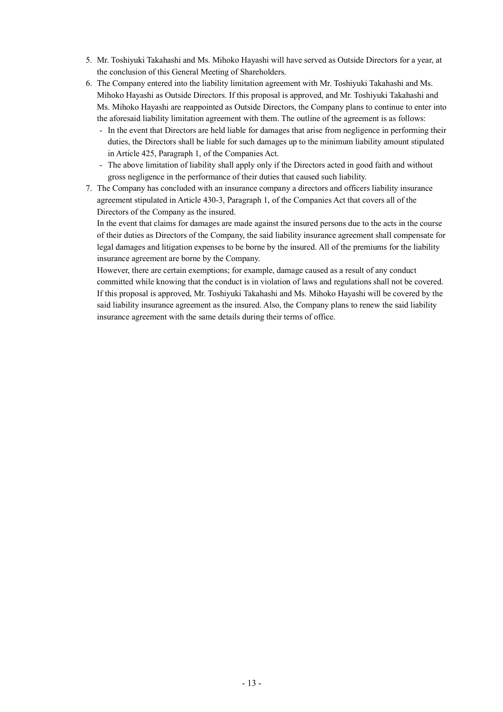- 5. Mr. Toshiyuki Takahashi and Ms. Mihoko Hayashi will have served as Outside Directors for a year, at the conclusion of this General Meeting of Shareholders.
- 6. The Company entered into the liability limitation agreement with Mr. Toshiyuki Takahashi and Ms. Mihoko Hayashi as Outside Directors. If this proposal is approved, and Mr. Toshiyuki Takahashi and Ms. Mihoko Hayashi are reappointed as Outside Directors, the Company plans to continue to enter into the aforesaid liability limitation agreement with them. The outline of the agreement is as follows:
	- In the event that Directors are held liable for damages that arise from negligence in performing their duties, the Directors shall be liable for such damages up to the minimum liability amount stipulated in Article 425, Paragraph 1, of the Companies Act.
	- The above limitation of liability shall apply only if the Directors acted in good faith and without gross negligence in the performance of their duties that caused such liability.
- 7. The Company has concluded with an insurance company a directors and officers liability insurance agreement stipulated in Article 430-3, Paragraph 1, of the Companies Act that covers all of the Directors of the Company as the insured.

In the event that claims for damages are made against the insured persons due to the acts in the course of their duties as Directors of the Company, the said liability insurance agreement shall compensate for legal damages and litigation expenses to be borne by the insured. All of the premiums for the liability insurance agreement are borne by the Company.

However, there are certain exemptions; for example, damage caused as a result of any conduct committed while knowing that the conduct is in violation of laws and regulations shall not be covered. If this proposal is approved, Mr. Toshiyuki Takahashi and Ms. Mihoko Hayashi will be covered by the said liability insurance agreement as the insured. Also, the Company plans to renew the said liability insurance agreement with the same details during their terms of office.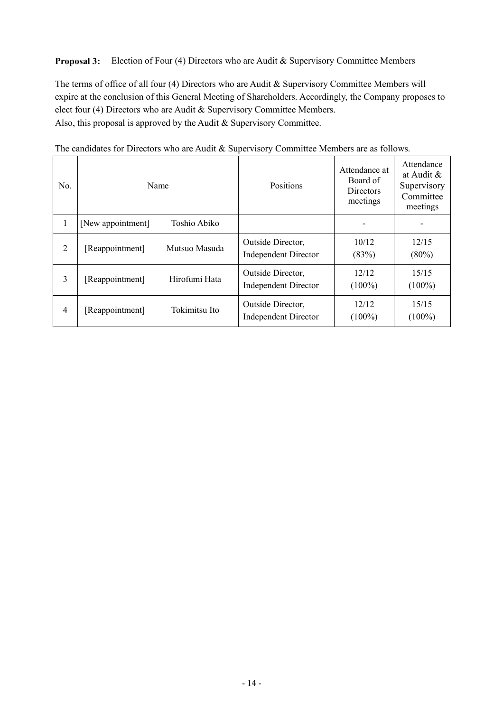**Proposal 3:** Election of Four (4) Directors who are Audit & Supervisory Committee Members

The terms of office of all four (4) Directors who are Audit & Supervisory Committee Members will expire at the conclusion of this General Meeting of Shareholders. Accordingly, the Company proposes to elect four (4) Directors who are Audit & Supervisory Committee Members. Also, this proposal is approved by the Audit & Supervisory Committee.

| No.            | Name                              | Positions                   | Attendance at<br>Board of<br><b>Directors</b><br>meetings | Attendance<br>at Audit $\&$<br>Supervisory<br>Committee<br>meetings |
|----------------|-----------------------------------|-----------------------------|-----------------------------------------------------------|---------------------------------------------------------------------|
| 1              | Toshio Abiko<br>[New appointment] |                             |                                                           |                                                                     |
| $\overline{2}$ | Mutsuo Masuda                     | Outside Director,           | 10/12                                                     | 12/15                                                               |
|                | [Reappointment]                   | <b>Independent Director</b> | (83%)                                                     | $(80\%)$                                                            |
| 3              | Hirofumi Hata                     | Outside Director,           | 12/12                                                     | 15/15                                                               |
|                | [Reappointment]                   | <b>Independent Director</b> | $(100\%)$                                                 | $(100\%)$                                                           |
| $\overline{4}$ | Tokimitsu Ito                     | Outside Director,           | 12/12                                                     | 15/15                                                               |
|                | [Reappointment]                   | <b>Independent Director</b> | $(100\%)$                                                 | $(100\%)$                                                           |

The candidates for Directors who are Audit & Supervisory Committee Members are as follows.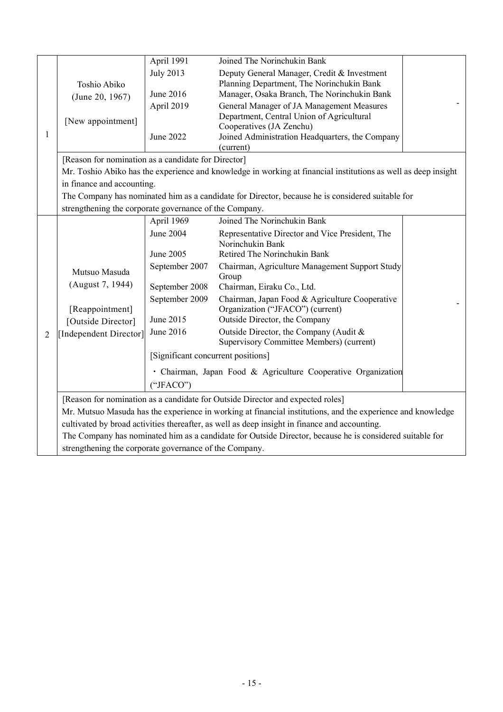|                |                                                        | April 1991                         | Joined The Norinchukin Bank                                                                                    |  |  |  |
|----------------|--------------------------------------------------------|------------------------------------|----------------------------------------------------------------------------------------------------------------|--|--|--|
|                |                                                        | <b>July 2013</b>                   | Deputy General Manager, Credit & Investment                                                                    |  |  |  |
|                | Toshio Abiko                                           |                                    | Planning Department, The Norinchukin Bank                                                                      |  |  |  |
|                | (June 20, 1967)                                        | June 2016                          | Manager, Osaka Branch, The Norinchukin Bank                                                                    |  |  |  |
|                |                                                        | April 2019                         | General Manager of JA Management Measures                                                                      |  |  |  |
|                | [New appointment]                                      |                                    | Department, Central Union of Agricultural                                                                      |  |  |  |
| $\mathbf{1}$   |                                                        | June 2022                          | Cooperatives (JA Zenchu)<br>Joined Administration Headquarters, the Company                                    |  |  |  |
|                |                                                        |                                    | (current)                                                                                                      |  |  |  |
|                | [Reason for nomination as a candidate for Director]    |                                    |                                                                                                                |  |  |  |
|                |                                                        |                                    | Mr. Toshio Abiko has the experience and knowledge in working at financial institutions as well as deep insight |  |  |  |
|                | in finance and accounting.                             |                                    |                                                                                                                |  |  |  |
|                |                                                        |                                    | The Company has nominated him as a candidate for Director, because he is considered suitable for               |  |  |  |
|                | strengthening the corporate governance of the Company. |                                    |                                                                                                                |  |  |  |
|                |                                                        | April 1969                         | Joined The Norinchukin Bank                                                                                    |  |  |  |
|                |                                                        | June 2004                          | Representative Director and Vice President, The                                                                |  |  |  |
|                |                                                        |                                    | Norinchukin Bank                                                                                               |  |  |  |
|                |                                                        | June 2005                          | Retired The Norinchukin Bank                                                                                   |  |  |  |
|                | Mutsuo Masuda                                          | September 2007                     | Chairman, Agriculture Management Support Study                                                                 |  |  |  |
|                | (August 7, 1944)                                       | September 2008                     | Group<br>Chairman, Eiraku Co., Ltd.                                                                            |  |  |  |
|                |                                                        | September 2009                     | Chairman, Japan Food & Agriculture Cooperative                                                                 |  |  |  |
|                | [Reappointment]                                        |                                    | Organization ("JFACO") (current)                                                                               |  |  |  |
|                | [Outside Director]                                     | June 2015                          | Outside Director, the Company                                                                                  |  |  |  |
| $\overline{2}$ | [Independent Director]                                 | June 2016                          | Outside Director, the Company (Audit &                                                                         |  |  |  |
|                |                                                        |                                    | Supervisory Committee Members) (current)                                                                       |  |  |  |
|                |                                                        | [Significant concurrent positions] |                                                                                                                |  |  |  |
|                |                                                        |                                    | · Chairman, Japan Food & Agriculture Cooperative Organization                                                  |  |  |  |
|                |                                                        | ("JFACO")                          |                                                                                                                |  |  |  |
|                |                                                        |                                    | [Reason for nomination as a candidate for Outside Director and expected roles]                                 |  |  |  |
|                |                                                        |                                    | Mr. Mutsuo Masuda has the experience in working at financial institutions, and the experience and knowledge    |  |  |  |
|                |                                                        |                                    | cultivated by broad activities thereafter, as well as deep insight in finance and accounting.                  |  |  |  |
|                |                                                        |                                    | The Company has nominated him as a candidate for Outside Director, because he is considered suitable for       |  |  |  |
|                | strengthening the corporate governance of the Company. |                                    |                                                                                                                |  |  |  |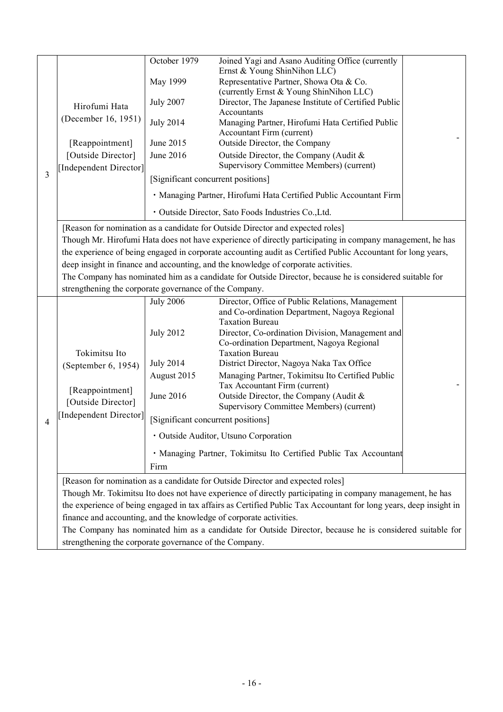| 3 | Hirofumi Hata<br>(December 16, 1951)                                                                              | October 1979                                                      | Joined Yagi and Asano Auditing Office (currently<br>Ernst & Young ShinNihon LLC)                                            |  |
|---|-------------------------------------------------------------------------------------------------------------------|-------------------------------------------------------------------|-----------------------------------------------------------------------------------------------------------------------------|--|
|   |                                                                                                                   | May 1999                                                          | Representative Partner, Showa Ota & Co.                                                                                     |  |
|   |                                                                                                                   | <b>July 2007</b>                                                  | (currently Ernst & Young ShinNihon LLC)<br>Director, The Japanese Institute of Certified Public                             |  |
|   |                                                                                                                   | <b>July 2014</b>                                                  | Accountants<br>Managing Partner, Hirofumi Hata Certified Public<br>Accountant Firm (current)                                |  |
|   | [Reappointment]                                                                                                   | June 2015                                                         | Outside Director, the Company                                                                                               |  |
|   | [Outside Director]<br>[Independent Director]                                                                      | June 2016                                                         | Outside Director, the Company (Audit &<br>Supervisory Committee Members) (current)                                          |  |
|   |                                                                                                                   | [Significant concurrent positions]                                |                                                                                                                             |  |
|   |                                                                                                                   |                                                                   | · Managing Partner, Hirofumi Hata Certified Public Accountant Firm                                                          |  |
|   |                                                                                                                   |                                                                   | · Outside Director, Sato Foods Industries Co., Ltd.                                                                         |  |
|   | [Reason for nomination as a candidate for Outside Director and expected roles]                                    |                                                                   |                                                                                                                             |  |
|   | Though Mr. Hirofumi Hata does not have experience of directly participating in company management, he has         |                                                                   |                                                                                                                             |  |
|   | the experience of being engaged in corporate accounting audit as Certified Public Accountant for long years,      |                                                                   |                                                                                                                             |  |
|   | deep insight in finance and accounting, and the knowledge of corporate activities.                                |                                                                   |                                                                                                                             |  |
|   | The Company has nominated him as a candidate for Outside Director, because he is considered suitable for          |                                                                   |                                                                                                                             |  |
|   | strengthening the corporate governance of the Company.                                                            |                                                                   |                                                                                                                             |  |
| 4 | Tokimitsu Ito<br>(September 6, 1954)<br>[Reappointment]<br>[Outside Director]<br>[Independent Director]           | <b>July 2006</b>                                                  | Director, Office of Public Relations, Management<br>and Co-ordination Department, Nagoya Regional<br><b>Taxation Bureau</b> |  |
|   |                                                                                                                   | <b>July 2012</b>                                                  | Director, Co-ordination Division, Management and<br>Co-ordination Department, Nagoya Regional<br><b>Taxation Bureau</b>     |  |
|   |                                                                                                                   | <b>July 2014</b>                                                  | District Director, Nagoya Naka Tax Office                                                                                   |  |
|   |                                                                                                                   | August 2015                                                       | Managing Partner, Tokimitsu Ito Certified Public                                                                            |  |
|   |                                                                                                                   | June 2016                                                         | Tax Accountant Firm (current)<br>Outside Director, the Company (Audit &<br>Supervisory Committee Members) (current)         |  |
|   |                                                                                                                   | [Significant concurrent positions]                                |                                                                                                                             |  |
|   |                                                                                                                   | · Outside Auditor, Utsuno Corporation                             |                                                                                                                             |  |
|   |                                                                                                                   | · Managing Partner, Tokimitsu Ito Certified Public Tax Accountant |                                                                                                                             |  |
|   |                                                                                                                   | Firm                                                              |                                                                                                                             |  |
|   | [Reason for nomination as a candidate for Outside Director and expected roles]                                    |                                                                   |                                                                                                                             |  |
|   | Though Mr. Tokimitsu Ito does not have experience of directly participating in company management, he has         |                                                                   |                                                                                                                             |  |
|   | the experience of being engaged in tax affairs as Certified Public Tax Accountant for long years, deep insight in |                                                                   |                                                                                                                             |  |
|   | finance and accounting, and the knowledge of corporate activities.                                                |                                                                   |                                                                                                                             |  |
|   | The Company has nominated him as a candidate for Outside Director, because he is considered suitable for          |                                                                   |                                                                                                                             |  |
|   | strengthening the corporate governance of the Company.                                                            |                                                                   |                                                                                                                             |  |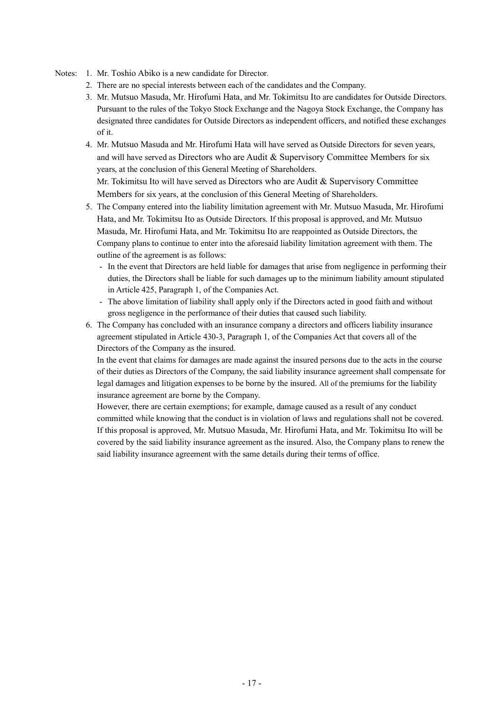#### Notes: 1. Mr. Toshio Abiko is a new candidate for Director.

- 2. There are no special interests between each of the candidates and the Company.
- 3. Mr. Mutsuo Masuda, Mr. Hirofumi Hata, and Mr. Tokimitsu Ito are candidates for Outside Directors. Pursuant to the rules of the Tokyo Stock Exchange and the Nagoya Stock Exchange, the Company has designated three candidates for Outside Directors as independent officers, and notified these exchanges of it.
- 4. Mr. Mutsuo Masuda and Mr. Hirofumi Hata will have served as Outside Directors for seven years, and will have served as Directors who are Audit  $\&$  Supervisory Committee Members for six years, at the conclusion of this General Meeting of Shareholders.

Mr. Tokimitsu Ito will have served as Directors who are Audit & Supervisory Committee Members for six years, at the conclusion of this General Meeting of Shareholders.

- 5. The Company entered into the liability limitation agreement with Mr. Mutsuo Masuda, Mr. Hirofumi Hata, and Mr. Tokimitsu Ito as Outside Directors. If this proposal is approved, and Mr. Mutsuo Masuda, Mr. Hirofumi Hata, and Mr. Tokimitsu Ito are reappointed as Outside Directors, the Company plans to continue to enter into the aforesaid liability limitation agreement with them. The outline of the agreement is as follows:
	- In the event that Directors are held liable for damages that arise from negligence in performing their duties, the Directors shall be liable for such damages up to the minimum liability amount stipulated in Article 425, Paragraph 1, of the Companies Act.
	- The above limitation of liability shall apply only if the Directors acted in good faith and without gross negligence in the performance of their duties that caused such liability.
- 6. The Company has concluded with an insurance company a directors and officers liability insurance agreement stipulated in Article 430-3, Paragraph 1, of the Companies Act that covers all of the Directors of the Company as the insured.

In the event that claims for damages are made against the insured persons due to the acts in the course of their duties as Directors of the Company, the said liability insurance agreement shall compensate for legal damages and litigation expenses to be borne by the insured. All of the premiums for the liability insurance agreement are borne by the Company.

However, there are certain exemptions; for example, damage caused as a result of any conduct committed while knowing that the conduct is in violation of laws and regulations shall not be covered. If this proposal is approved, Mr. Mutsuo Masuda, Mr. Hirofumi Hata, and Mr. Tokimitsu Ito will be covered by the said liability insurance agreement as the insured. Also, the Company plans to renew the said liability insurance agreement with the same details during their terms of office.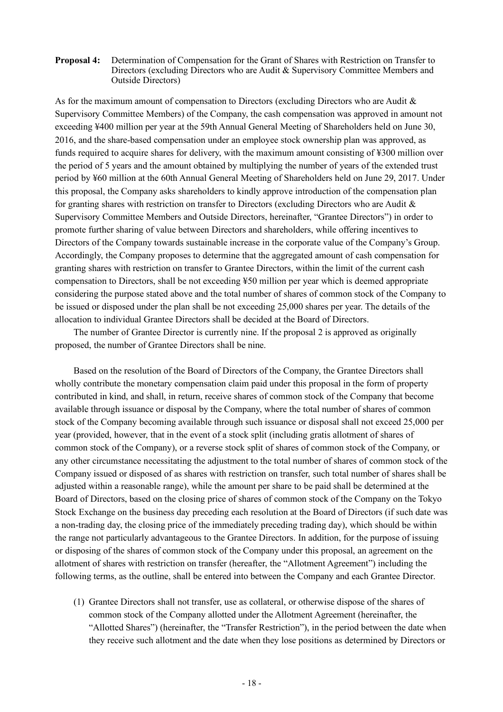## **Proposal 4:** Determination of Compensation for the Grant of Shares with Restriction on Transfer to Directors (excluding Directors who are Audit & Supervisory Committee Members and Outside Directors)

As for the maximum amount of compensation to Directors (excluding Directors who are Audit & Supervisory Committee Members) of the Company, the cash compensation was approved in amount not exceeding ¥400 million per year at the 59th Annual General Meeting of Shareholders held on June 30, 2016, and the share-based compensation under an employee stock ownership plan was approved, as funds required to acquire shares for delivery, with the maximum amount consisting of ¥300 million over the period of 5 years and the amount obtained by multiplying the number of years of the extended trust period by ¥60 million at the 60th Annual General Meeting of Shareholders held on June 29, 2017. Under this proposal, the Company asks shareholders to kindly approve introduction of the compensation plan for granting shares with restriction on transfer to Directors (excluding Directors who are Audit & Supervisory Committee Members and Outside Directors, hereinafter, "Grantee Directors") in order to promote further sharing of value between Directors and shareholders, while offering incentives to Directors of the Company towards sustainable increase in the corporate value of the Company's Group. Accordingly, the Company proposes to determine that the aggregated amount of cash compensation for granting shares with restriction on transfer to Grantee Directors, within the limit of the current cash compensation to Directors, shall be not exceeding ¥50 million per year which is deemed appropriate considering the purpose stated above and the total number of shares of common stock of the Company to be issued or disposed under the plan shall be not exceeding 25,000 shares per year. The details of the allocation to individual Grantee Directors shall be decided at the Board of Directors.

The number of Grantee Director is currently nine. If the proposal 2 is approved as originally proposed, the number of Grantee Directors shall be nine.

Based on the resolution of the Board of Directors of the Company, the Grantee Directors shall wholly contribute the monetary compensation claim paid under this proposal in the form of property contributed in kind, and shall, in return, receive shares of common stock of the Company that become available through issuance or disposal by the Company, where the total number of shares of common stock of the Company becoming available through such issuance or disposal shall not exceed 25,000 per year (provided, however, that in the event of a stock split (including gratis allotment of shares of common stock of the Company), or a reverse stock split of shares of common stock of the Company, or any other circumstance necessitating the adjustment to the total number of shares of common stock of the Company issued or disposed of as shares with restriction on transfer, such total number of shares shall be adjusted within a reasonable range), while the amount per share to be paid shall be determined at the Board of Directors, based on the closing price of shares of common stock of the Company on the Tokyo Stock Exchange on the business day preceding each resolution at the Board of Directors (if such date was a non-trading day, the closing price of the immediately preceding trading day), which should be within the range not particularly advantageous to the Grantee Directors. In addition, for the purpose of issuing or disposing of the shares of common stock of the Company under this proposal, an agreement on the allotment of shares with restriction on transfer (hereafter, the "Allotment Agreement") including the following terms, as the outline, shall be entered into between the Company and each Grantee Director.

(1) Grantee Directors shall not transfer, use as collateral, or otherwise dispose of the shares of common stock of the Company allotted under the Allotment Agreement (hereinafter, the "Allotted Shares") (hereinafter, the "Transfer Restriction"), in the period between the date when they receive such allotment and the date when they lose positions as determined by Directors or